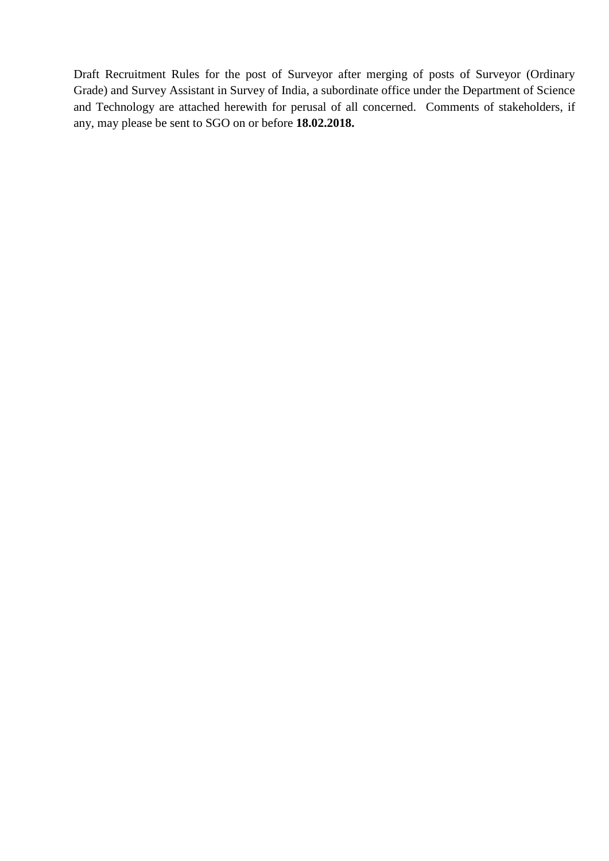Draft Recruitment Rules for the post of Surveyor after merging of posts of Surveyor (Ordinary Grade) and Survey Assistant in Survey of India, a subordinate office under the Department of Science and Technology are attached herewith for perusal of all concerned. Comments of stakeholders, if any, may please be sent to SGO on or before **18.02.2018.**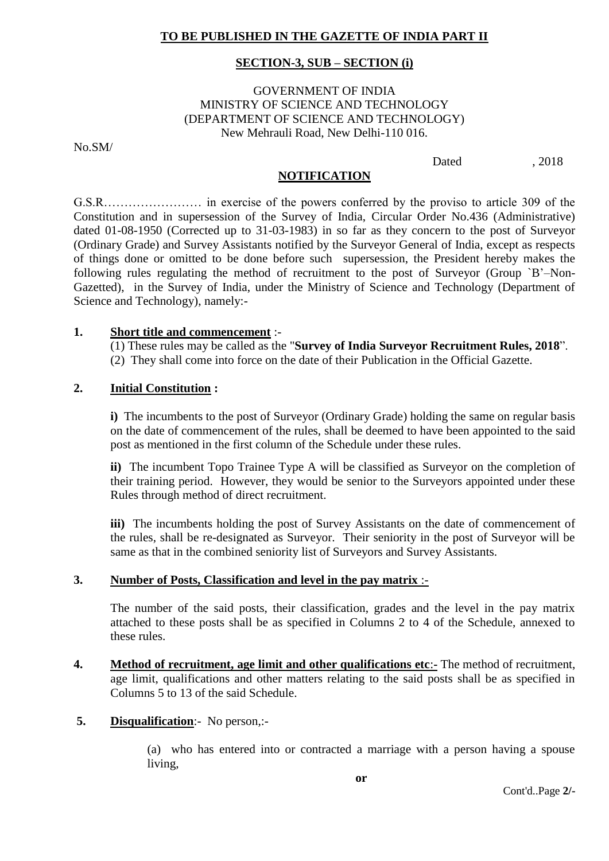## **TO BE PUBLISHED IN THE GAZETTE OF INDIA PART II**

#### **SECTION-3, SUB – SECTION (i)**

## GOVERNMENT OF INDIA MINISTRY OF SCIENCE AND TECHNOLOGY (DEPARTMENT OF SCIENCE AND TECHNOLOGY) New Mehrauli Road, New Delhi-110 016.

No.SM/

Dated . 2018

#### **NOTIFICATION**

G.S.R…………………… in exercise of the powers conferred by the proviso to article 309 of the Constitution and in supersession of the Survey of India, Circular Order No.436 (Administrative) dated 01-08-1950 (Corrected up to 31-03-1983) in so far as they concern to the post of Surveyor (Ordinary Grade) and Survey Assistants notified by the Surveyor General of India, except as respects of things done or omitted to be done before such supersession, the President hereby makes the following rules regulating the method of recruitment to the post of Surveyor (Group `B'–Non-Gazetted), in the Survey of India, under the Ministry of Science and Technology (Department of Science and Technology), namely:-

#### **1. Short title and commencement** :-

(1) These rules may be called as the "**Survey of India Surveyor Recruitment Rules, 2018**". (2) They shall come into force on the date of their Publication in the Official Gazette.

## **2. Initial Constitution :**

**i)** The incumbents to the post of Surveyor (Ordinary Grade) holding the same on regular basis on the date of commencement of the rules, shall be deemed to have been appointed to the said post as mentioned in the first column of the Schedule under these rules.

**ii)** The incumbent Topo Trainee Type A will be classified as Surveyor on the completion of their training period. However, they would be senior to the Surveyors appointed under these Rules through method of direct recruitment.

**iii)** The incumbents holding the post of Survey Assistants on the date of commencement of the rules, shall be re-designated as Surveyor. Their seniority in the post of Surveyor will be same as that in the combined seniority list of Surveyors and Survey Assistants.

#### **3. Number of Posts, Classification and level in the pay matrix** :-

The number of the said posts, their classification, grades and the level in the pay matrix attached to these posts shall be as specified in Columns 2 to 4 of the Schedule, annexed to these rules.

**4. Method of recruitment, age limit and other qualifications etc**:**-** The method of recruitment, age limit, qualifications and other matters relating to the said posts shall be as specified in Columns 5 to 13 of the said Schedule.

## **5. Disqualification**:- No person,:-

(a) who has entered into or contracted a marriage with a person having a spouse living,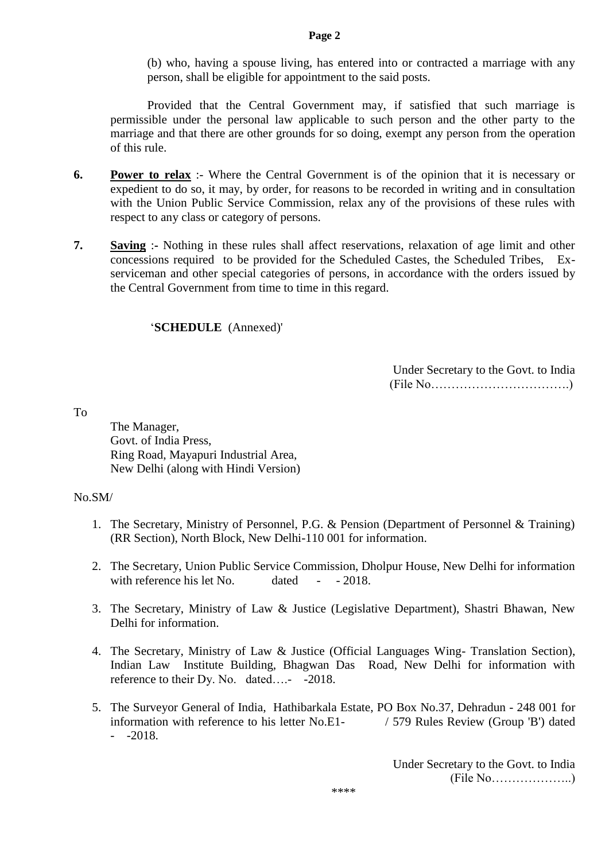**Page 2**

(b) who, having a spouse living, has entered into or contracted a marriage with any person, shall be eligible for appointment to the said posts.

Provided that the Central Government may, if satisfied that such marriage is permissible under the personal law applicable to such person and the other party to the marriage and that there are other grounds for so doing, exempt any person from the operation of this rule.

- **6. Power to relax** :- Where the Central Government is of the opinion that it is necessary or expedient to do so, it may, by order, for reasons to be recorded in writing and in consultation with the Union Public Service Commission, relax any of the provisions of these rules with respect to any class or category of persons.
- **7. Saving** :**-** Nothing in these rules shall affect reservations, relaxation of age limit and other concessions required to be provided for the Scheduled Castes, the Scheduled Tribes, Exserviceman and other special categories of persons, in accordance with the orders issued by the Central Government from time to time in this regard.

## '**SCHEDULE** (Annexed)'

Under Secretary to the Govt. to India (File No…………………………….)

To

The Manager, Govt. of India Press, Ring Road, Mayapuri Industrial Area, New Delhi (along with Hindi Version)

## No.SM/

- 1. The Secretary, Ministry of Personnel, P.G. & Pension (Department of Personnel & Training) (RR Section), North Block, New Delhi-110 001 for information.
- 2. The Secretary, Union Public Service Commission, Dholpur House, New Delhi for information with reference his let No. dated - - 2018.
- 3. The Secretary, Ministry of Law & Justice (Legislative Department), Shastri Bhawan, New Delhi for information.
- 4. The Secretary, Ministry of Law & Justice (Official Languages Wing- Translation Section), Indian Law Institute Building, Bhagwan Das Road, New Delhi for information with reference to their Dy. No. dated….- -2018.
- 5. The Surveyor General of India, Hathibarkala Estate, PO Box No.37, Dehradun 248 001 for information with reference to his letter No.E1- / 579 Rules Review (Group 'B') dated  $-2018$ .

Under Secretary to the Govt. to India  $(File No... \dots 1)$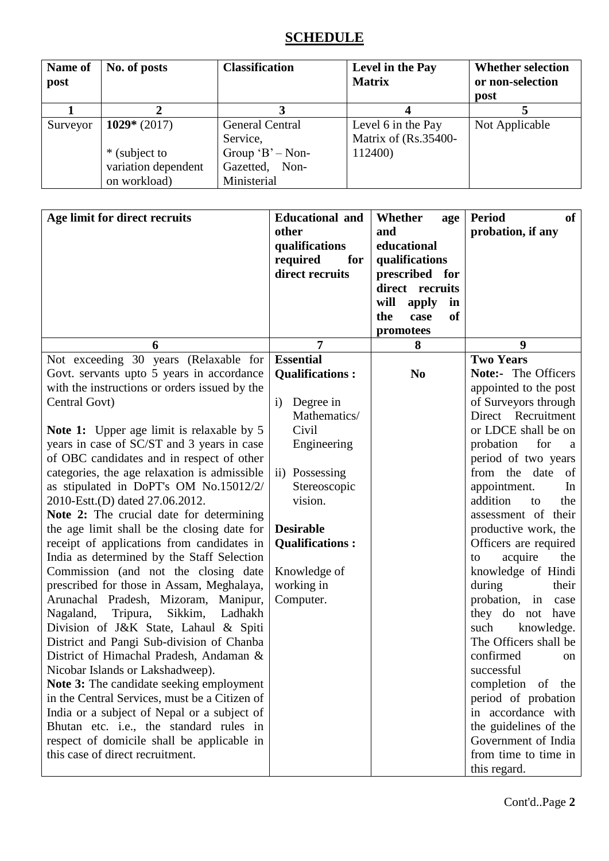# **SCHEDULE**

| Name of<br>post | No. of posts        | <b>Classification</b>  | Level in the Pay<br><b>Matrix</b> | <b>Whether selection</b><br>or non-selection<br>post |
|-----------------|---------------------|------------------------|-----------------------------------|------------------------------------------------------|
|                 |                     |                        |                                   |                                                      |
| Surveyor        | $1029*(2017)$       | <b>General Central</b> | Level 6 in the Pay                | Not Applicable                                       |
|                 |                     | Service,               | Matrix of (Rs.35400-              |                                                      |
|                 | * (subject to       | Group $B'$ – Non-      | 112400)                           |                                                      |
|                 | variation dependent | Gazetted, Non-         |                                   |                                                      |
|                 | on workload)        | Ministerial            |                                   |                                                      |

| Age limit for direct recruits                                                                                                                                                                                                                                                                                                                                                                                                                                                                                                                                                                                                                                                                                       | <b>Educational</b> and<br>other<br>qualifications<br>required<br>for<br>direct recruits                                                                                                                                                  | Whether<br>age<br>and<br>educational<br>qualifications<br>prescribed for<br>direct recruits<br>will<br>apply<br>in<br>the<br><b>of</b><br>case<br>promotees | <b>Period</b><br><b>of</b><br>probation, if any                                                                                                                                                                                                                                                                                                                                                             |
|---------------------------------------------------------------------------------------------------------------------------------------------------------------------------------------------------------------------------------------------------------------------------------------------------------------------------------------------------------------------------------------------------------------------------------------------------------------------------------------------------------------------------------------------------------------------------------------------------------------------------------------------------------------------------------------------------------------------|------------------------------------------------------------------------------------------------------------------------------------------------------------------------------------------------------------------------------------------|-------------------------------------------------------------------------------------------------------------------------------------------------------------|-------------------------------------------------------------------------------------------------------------------------------------------------------------------------------------------------------------------------------------------------------------------------------------------------------------------------------------------------------------------------------------------------------------|
| 6                                                                                                                                                                                                                                                                                                                                                                                                                                                                                                                                                                                                                                                                                                                   | 7                                                                                                                                                                                                                                        | 8                                                                                                                                                           | 9                                                                                                                                                                                                                                                                                                                                                                                                           |
| Not exceeding 30 years (Relaxable for<br>Govt. servants upto 5 years in accordance<br>with the instructions or orders issued by the<br>Central Govt)<br><b>Note 1:</b> Upper age limit is relaxable by 5<br>years in case of SC/ST and 3 years in case<br>of OBC candidates and in respect of other<br>categories, the age relaxation is admissible<br>as stipulated in DoPT's OM No.15012/2/<br>2010-Estt.(D) dated 27.06.2012.<br><b>Note 2:</b> The crucial date for determining<br>the age limit shall be the closing date for<br>receipt of applications from candidates in<br>India as determined by the Staff Selection<br>Commission (and not the closing date<br>prescribed for those in Assam, Meghalaya, | <b>Essential</b><br><b>Qualifications:</b><br>Degree in<br>$\mathbf{i}$<br>Mathematics/<br>Civil<br>Engineering<br>ii) Possessing<br>Stereoscopic<br>vision.<br><b>Desirable</b><br><b>Qualifications:</b><br>Knowledge of<br>working in | N <sub>0</sub>                                                                                                                                              | <b>Two Years</b><br><b>Note:-</b> The Officers<br>appointed to the post<br>of Surveyors through<br>Direct Recruitment<br>or LDCE shall be on<br>probation<br>for<br>a<br>period of two years<br>from the date<br>of<br>appointment.<br>In<br>addition<br>to<br>the<br>assessment of their<br>productive work, the<br>Officers are required<br>acquire<br>the<br>to<br>knowledge of Hindi<br>during<br>their |
| Arunachal Pradesh, Mizoram,<br>Manipur,<br>Nagaland,<br>Sikkim,<br>Tripura,<br>Ladhakh<br>Division of J&K State, Lahaul & Spiti<br>District and Pangi Sub-division of Chanba<br>District of Himachal Pradesh, Andaman &<br>Nicobar Islands or Lakshadweep).<br><b>Note 3:</b> The candidate seeking employment<br>in the Central Services, must be a Citizen of<br>India or a subject of Nepal or a subject of<br>Bhutan etc. i.e., the standard rules in<br>respect of domicile shall be applicable in<br>this case of direct recruitment.                                                                                                                                                                         | Computer.                                                                                                                                                                                                                                |                                                                                                                                                             | probation, in case<br>they do not have<br>such<br>knowledge.<br>The Officers shall be<br>confirmed<br>on<br>successful<br>completion<br>of the<br>period of probation<br>in accordance with<br>the guidelines of the<br>Government of India<br>from time to time in<br>this regard.                                                                                                                         |